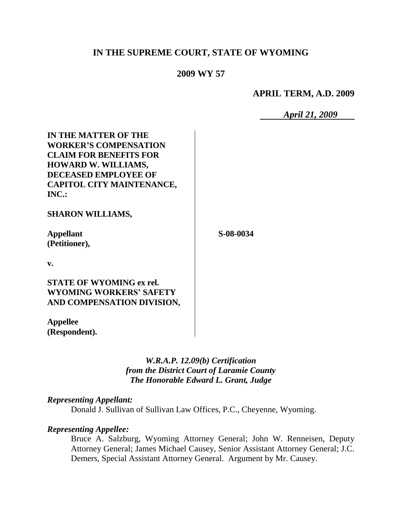# **IN THE SUPREME COURT, STATE OF WYOMING**

## **2009 WY 57**

**APRIL TERM, A.D. 2009**

*April 21, 2009*

| <b>IN THE MATTER OF THE</b><br><b>WORKER'S COMPENSATION</b><br><b>CLAIM FOR BENEFITS FOR</b><br><b>HOWARD W. WILLIAMS,</b><br><b>DECEASED EMPLOYEE OF</b><br>CAPITOL CITY MAINTENANCE,<br>INC.: |           |
|-------------------------------------------------------------------------------------------------------------------------------------------------------------------------------------------------|-----------|
| <b>SHARON WILLIAMS,</b>                                                                                                                                                                         |           |
| <b>Appellant</b><br>(Petitioner),                                                                                                                                                               | S-08-0034 |
| v.                                                                                                                                                                                              |           |
| <b>STATE OF WYOMING ex rel.</b><br><b>WYOMING WORKERS' SAFETY</b><br>AND COMPENSATION DIVISION,                                                                                                 |           |
| <b>Appellee</b>                                                                                                                                                                                 |           |

*W.R.A.P. 12.09(b) Certification from the District Court of Laramie County The Honorable Edward L. Grant, Judge*

## *Representing Appellant:*

**(Respondent).**

Donald J. Sullivan of Sullivan Law Offices, P.C., Cheyenne, Wyoming.

## *Representing Appellee:*

Bruce A. Salzburg, Wyoming Attorney General; John W. Renneisen, Deputy Attorney General; James Michael Causey, Senior Assistant Attorney General; J.C. Demers, Special Assistant Attorney General. Argument by Mr. Causey.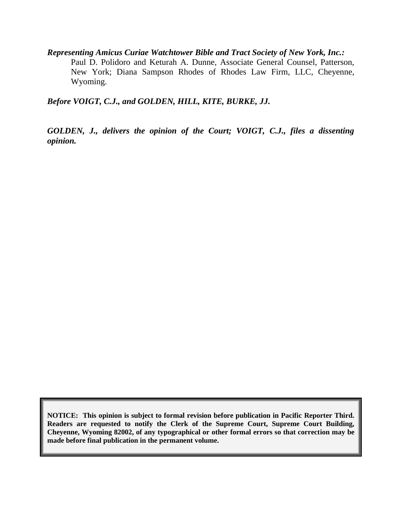*Representing Amicus Curiae Watchtower Bible and Tract Society of New York, Inc.:* Paul D. Polidoro and Keturah A. Dunne, Associate General Counsel, Patterson, New York; Diana Sampson Rhodes of Rhodes Law Firm, LLC, Cheyenne, Wyoming.

*Before VOIGT, C.J., and GOLDEN, HILL, KITE, BURKE, JJ.*

*GOLDEN, J., delivers the opinion of the Court; VOIGT, C.J., files a dissenting opinion.*

**NOTICE: This opinion is subject to formal revision before publication in Pacific Reporter Third. Readers are requested to notify the Clerk of the Supreme Court, Supreme Court Building, Cheyenne, Wyoming 82002, of any typographical or other formal errors so that correction may be made before final publication in the permanent volume.**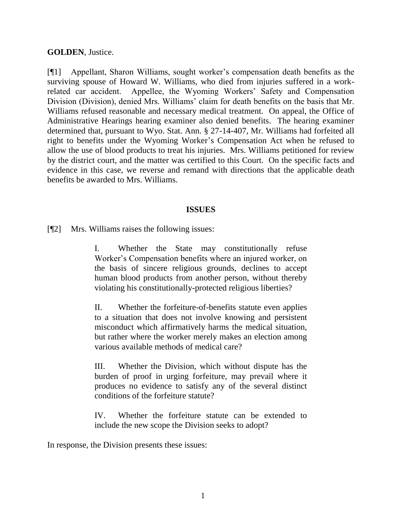## **GOLDEN**, Justice.

[¶1] Appellant, Sharon Williams, sought worker"s compensation death benefits as the surviving spouse of Howard W. Williams, who died from injuries suffered in a workrelated car accident. Appellee, the Wyoming Workers" Safety and Compensation Division (Division), denied Mrs. Williams" claim for death benefits on the basis that Mr. Williams refused reasonable and necessary medical treatment. On appeal, the Office of Administrative Hearings hearing examiner also denied benefits. The hearing examiner determined that, pursuant to Wyo. Stat. Ann. § 27-14-407, Mr. Williams had forfeited all right to benefits under the Wyoming Worker"s Compensation Act when he refused to allow the use of blood products to treat his injuries. Mrs. Williams petitioned for review by the district court, and the matter was certified to this Court. On the specific facts and evidence in this case, we reverse and remand with directions that the applicable death benefits be awarded to Mrs. Williams.

### **ISSUES**

[¶2] Mrs. Williams raises the following issues:

I. Whether the State may constitutionally refuse Worker"s Compensation benefits where an injured worker, on the basis of sincere religious grounds, declines to accept human blood products from another person, without thereby violating his constitutionally-protected religious liberties?

II. Whether the forfeiture-of-benefits statute even applies to a situation that does not involve knowing and persistent misconduct which affirmatively harms the medical situation, but rather where the worker merely makes an election among various available methods of medical care?

III. Whether the Division, which without dispute has the burden of proof in urging forfeiture, may prevail where it produces no evidence to satisfy any of the several distinct conditions of the forfeiture statute?

IV. Whether the forfeiture statute can be extended to include the new scope the Division seeks to adopt?

In response, the Division presents these issues: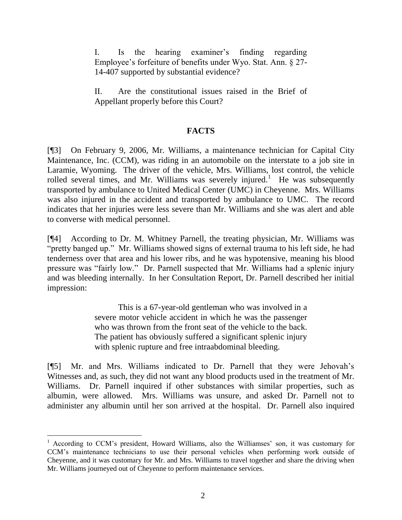I. Is the hearing examiner"s finding regarding Employee's forfeiture of benefits under Wyo. Stat. Ann. § 27-14-407 supported by substantial evidence?

II. Are the constitutional issues raised in the Brief of Appellant properly before this Court?

## **FACTS**

[¶3] On February 9, 2006, Mr. Williams, a maintenance technician for Capital City Maintenance, Inc. (CCM), was riding in an automobile on the interstate to a job site in Laramie, Wyoming. The driver of the vehicle, Mrs. Williams, lost control, the vehicle rolled several times, and Mr. Williams was severely injured.<sup>1</sup> He was subsequently transported by ambulance to United Medical Center (UMC) in Cheyenne. Mrs. Williams was also injured in the accident and transported by ambulance to UMC. The record indicates that her injuries were less severe than Mr. Williams and she was alert and able to converse with medical personnel.

[¶4] According to Dr. M. Whitney Parnell, the treating physician, Mr. Williams was "pretty banged up." Mr. Williams showed signs of external trauma to his left side, he had tenderness over that area and his lower ribs, and he was hypotensive, meaning his blood pressure was "fairly low." Dr. Parnell suspected that Mr. Williams had a splenic injury and was bleeding internally. In her Consultation Report, Dr. Parnell described her initial impression:

> This is a 67-year-old gentleman who was involved in a severe motor vehicle accident in which he was the passenger who was thrown from the front seat of the vehicle to the back. The patient has obviously suffered a significant splenic injury with splenic rupture and free intraabdominal bleeding.

[¶5] Mr. and Mrs. Williams indicated to Dr. Parnell that they were Jehovah"s Witnesses and, as such, they did not want any blood products used in the treatment of Mr. Williams. Dr. Parnell inquired if other substances with similar properties, such as albumin, were allowed. Mrs. Williams was unsure, and asked Dr. Parnell not to administer any albumin until her son arrived at the hospital. Dr. Parnell also inquired

<sup>&</sup>lt;sup>1</sup> According to CCM's president, Howard Williams, also the Williamses' son, it was customary for CCM"s maintenance technicians to use their personal vehicles when performing work outside of Cheyenne, and it was customary for Mr. and Mrs. Williams to travel together and share the driving when Mr. Williams journeyed out of Cheyenne to perform maintenance services.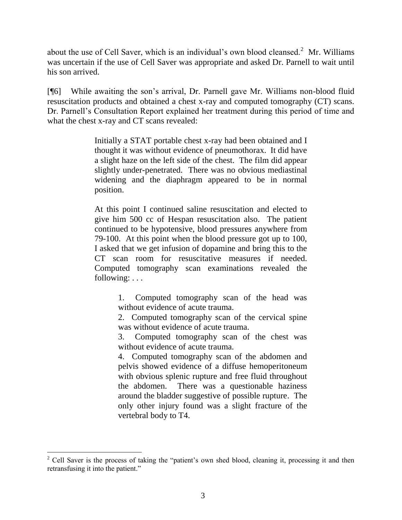about the use of Cell Saver, which is an individual's own blood cleansed. $2$  Mr. Williams was uncertain if the use of Cell Saver was appropriate and asked Dr. Parnell to wait until his son arrived.

[¶6] While awaiting the son"s arrival, Dr. Parnell gave Mr. Williams non-blood fluid resuscitation products and obtained a chest x-ray and computed tomography (CT) scans. Dr. Parnell"s Consultation Report explained her treatment during this period of time and what the chest x-ray and CT scans revealed:

> Initially a STAT portable chest x-ray had been obtained and I thought it was without evidence of pneumothorax. It did have a slight haze on the left side of the chest. The film did appear slightly under-penetrated. There was no obvious mediastinal widening and the diaphragm appeared to be in normal position.

> At this point I continued saline resuscitation and elected to give him 500 cc of Hespan resuscitation also. The patient continued to be hypotensive, blood pressures anywhere from 79-100. At this point when the blood pressure got up to 100, I asked that we get infusion of dopamine and bring this to the CT scan room for resuscitative measures if needed. Computed tomography scan examinations revealed the following: . . .

> > 1. Computed tomography scan of the head was without evidence of acute trauma.

> > 2. Computed tomography scan of the cervical spine was without evidence of acute trauma.

> > 3. Computed tomography scan of the chest was without evidence of acute trauma.

> > 4. Computed tomography scan of the abdomen and pelvis showed evidence of a diffuse hemoperitoneum with obvious splenic rupture and free fluid throughout the abdomen. There was a questionable haziness around the bladder suggestive of possible rupture. The only other injury found was a slight fracture of the vertebral body to T4.

l

<sup>&</sup>lt;sup>2</sup> Cell Saver is the process of taking the "patient's own shed blood, cleaning it, processing it and then retransfusing it into the patient."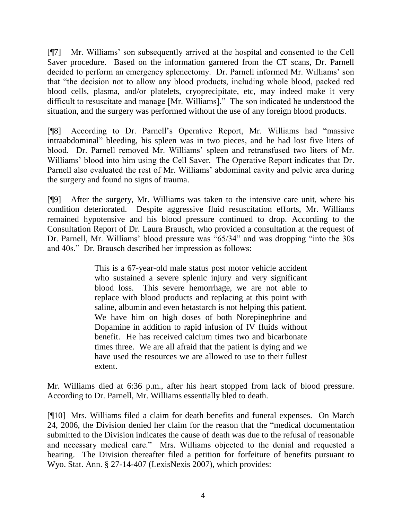[¶7] Mr. Williams" son subsequently arrived at the hospital and consented to the Cell Saver procedure. Based on the information garnered from the CT scans, Dr. Parnell decided to perform an emergency splenectomy. Dr. Parnell informed Mr. Williams" son that "the decision not to allow any blood products, including whole blood, packed red blood cells, plasma, and/or platelets, cryoprecipitate, etc, may indeed make it very difficult to resuscitate and manage [Mr. Williams]." The son indicated he understood the situation, and the surgery was performed without the use of any foreign blood products.

[¶8] According to Dr. Parnell"s Operative Report, Mr. Williams had "massive intraabdominal" bleeding, his spleen was in two pieces, and he had lost five liters of blood. Dr. Parnell removed Mr. Williams" spleen and retransfused two liters of Mr. Williams" blood into him using the Cell Saver. The Operative Report indicates that Dr. Parnell also evaluated the rest of Mr. Williams' abdominal cavity and pelvic area during the surgery and found no signs of trauma.

[¶9] After the surgery, Mr. Williams was taken to the intensive care unit, where his condition deteriorated. Despite aggressive fluid resuscitation efforts, Mr. Williams remained hypotensive and his blood pressure continued to drop. According to the Consultation Report of Dr. Laura Brausch, who provided a consultation at the request of Dr. Parnell, Mr. Williams" blood pressure was "65/34" and was dropping "into the 30s and 40s." Dr. Brausch described her impression as follows:

> This is a 67-year-old male status post motor vehicle accident who sustained a severe splenic injury and very significant blood loss. This severe hemorrhage, we are not able to replace with blood products and replacing at this point with saline, albumin and even hetastarch is not helping this patient. We have him on high doses of both Norepinephrine and Dopamine in addition to rapid infusion of IV fluids without benefit. He has received calcium times two and bicarbonate times three. We are all afraid that the patient is dying and we have used the resources we are allowed to use to their fullest extent.

Mr. Williams died at 6:36 p.m., after his heart stopped from lack of blood pressure. According to Dr. Parnell, Mr. Williams essentially bled to death.

[¶10] Mrs. Williams filed a claim for death benefits and funeral expenses. On March 24, 2006, the Division denied her claim for the reason that the "medical documentation submitted to the Division indicates the cause of death was due to the refusal of reasonable and necessary medical care." Mrs. Williams objected to the denial and requested a hearing. The Division thereafter filed a petition for forfeiture of benefits pursuant to Wyo. Stat. Ann. § 27-14-407 (LexisNexis 2007), which provides: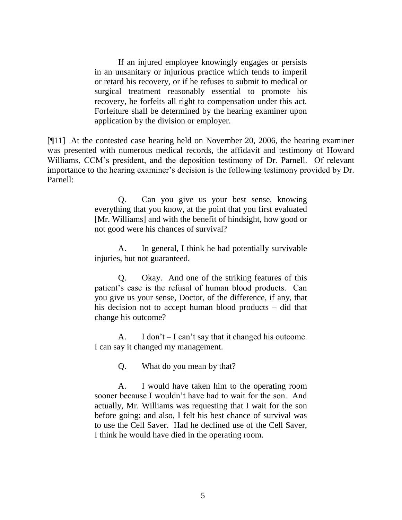If an injured employee knowingly engages or persists in an unsanitary or injurious practice which tends to imperil or retard his recovery, or if he refuses to submit to medical or surgical treatment reasonably essential to promote his recovery, he forfeits all right to compensation under this act. Forfeiture shall be determined by the hearing examiner upon application by the division or employer.

[¶11] At the contested case hearing held on November 20, 2006, the hearing examiner was presented with numerous medical records, the affidavit and testimony of Howard Williams, CCM's president, and the deposition testimony of Dr. Parnell. Of relevant importance to the hearing examiner's decision is the following testimony provided by Dr. Parnell:

> Q. Can you give us your best sense, knowing everything that you know, at the point that you first evaluated [Mr. Williams] and with the benefit of hindsight, how good or not good were his chances of survival?

> A. In general, I think he had potentially survivable injuries, but not guaranteed.

> Q. Okay. And one of the striking features of this patient"s case is the refusal of human blood products. Can you give us your sense, Doctor, of the difference, if any, that his decision not to accept human blood products – did that change his outcome?

> A. I don't  $-I$  can't say that it changed his outcome. I can say it changed my management.

> > Q. What do you mean by that?

A. I would have taken him to the operating room sooner because I wouldn't have had to wait for the son. And actually, Mr. Williams was requesting that I wait for the son before going; and also, I felt his best chance of survival was to use the Cell Saver. Had he declined use of the Cell Saver, I think he would have died in the operating room.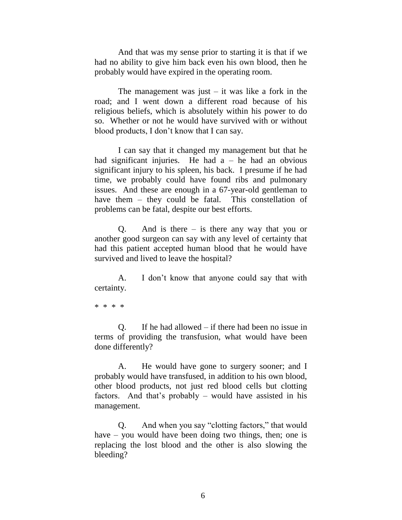And that was my sense prior to starting it is that if we had no ability to give him back even his own blood, then he probably would have expired in the operating room.

The management was just  $-$  it was like a fork in the road; and I went down a different road because of his religious beliefs, which is absolutely within his power to do so. Whether or not he would have survived with or without blood products, I don"t know that I can say.

I can say that it changed my management but that he had significant injuries. He had  $a - he$  had an obvious significant injury to his spleen, his back. I presume if he had time, we probably could have found ribs and pulmonary issues. And these are enough in a 67-year-old gentleman to have them – they could be fatal. This constellation of problems can be fatal, despite our best efforts.

Q. And is there – is there any way that you or another good surgeon can say with any level of certainty that had this patient accepted human blood that he would have survived and lived to leave the hospital?

A. I don"t know that anyone could say that with certainty.

\* \* \* \*

Q. If he had allowed – if there had been no issue in terms of providing the transfusion, what would have been done differently?

A. He would have gone to surgery sooner; and I probably would have transfused, in addition to his own blood, other blood products, not just red blood cells but clotting factors. And that"s probably – would have assisted in his management.

Q. And when you say "clotting factors," that would have – you would have been doing two things, then; one is replacing the lost blood and the other is also slowing the bleeding?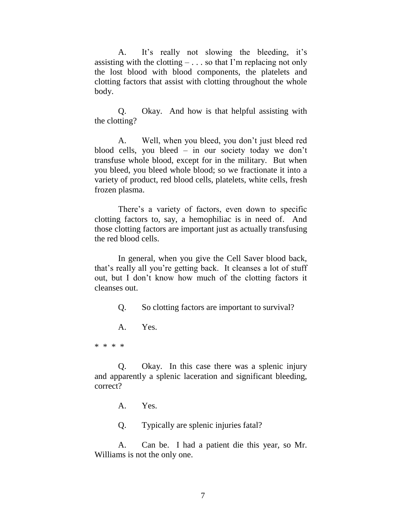A. It's really not slowing the bleeding, it's assisting with the clotting  $-\dots$  so that I'm replacing not only the lost blood with blood components, the platelets and clotting factors that assist with clotting throughout the whole body.

Q. Okay. And how is that helpful assisting with the clotting?

A. Well, when you bleed, you don"t just bleed red blood cells, you bleed – in our society today we don"t transfuse whole blood, except for in the military. But when you bleed, you bleed whole blood; so we fractionate it into a variety of product, red blood cells, platelets, white cells, fresh frozen plasma.

There's a variety of factors, even down to specific clotting factors to, say, a hemophiliac is in need of. And those clotting factors are important just as actually transfusing the red blood cells.

In general, when you give the Cell Saver blood back, that"s really all you"re getting back. It cleanses a lot of stuff out, but I don"t know how much of the clotting factors it cleanses out.

Q. So clotting factors are important to survival?

A. Yes.

\* \* \* \*

Q. Okay. In this case there was a splenic injury and apparently a splenic laceration and significant bleeding, correct?

A. Yes.

Q. Typically are splenic injuries fatal?

A. Can be. I had a patient die this year, so Mr. Williams is not the only one.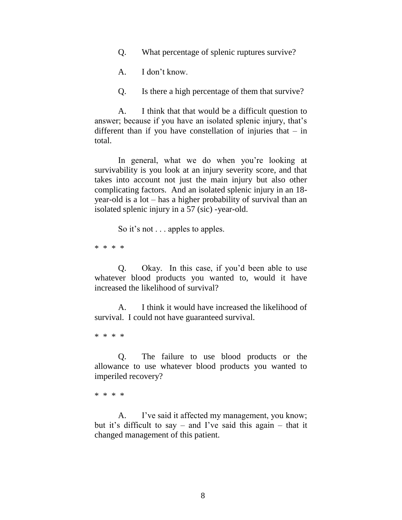Q. What percentage of splenic ruptures survive?

A. I don"t know.

Q. Is there a high percentage of them that survive?

A. I think that that would be a difficult question to answer; because if you have an isolated splenic injury, that's different than if you have constellation of injuries that – in total.

In general, what we do when you're looking at survivability is you look at an injury severity score, and that takes into account not just the main injury but also other complicating factors. And an isolated splenic injury in an 18 year-old is a lot – has a higher probability of survival than an isolated splenic injury in a 57 (sic) -year-old.

So it's not . . . apples to apples.

\* \* \* \*

Q. Okay. In this case, if you"d been able to use whatever blood products you wanted to, would it have increased the likelihood of survival?

A. I think it would have increased the likelihood of survival. I could not have guaranteed survival.

\* \* \* \*

Q. The failure to use blood products or the allowance to use whatever blood products you wanted to imperiled recovery?

\* \* \* \*

A. I've said it affected my management, you know; but it's difficult to say – and I've said this again – that it changed management of this patient.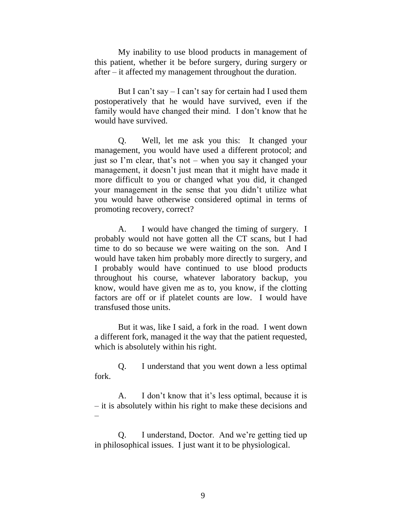My inability to use blood products in management of this patient, whether it be before surgery, during surgery or after – it affected my management throughout the duration.

But I can't say  $-$  I can't say for certain had I used them postoperatively that he would have survived, even if the family would have changed their mind. I don"t know that he would have survived.

Q. Well, let me ask you this: It changed your management, you would have used a different protocol; and just so I"m clear, that"s not – when you say it changed your management, it doesn"t just mean that it might have made it more difficult to you or changed what you did, it changed your management in the sense that you didn"t utilize what you would have otherwise considered optimal in terms of promoting recovery, correct?

A. I would have changed the timing of surgery. I probably would not have gotten all the CT scans, but I had time to do so because we were waiting on the son. And I would have taken him probably more directly to surgery, and I probably would have continued to use blood products throughout his course, whatever laboratory backup, you know, would have given me as to, you know, if the clotting factors are off or if platelet counts are low. I would have transfused those units.

But it was, like I said, a fork in the road. I went down a different fork, managed it the way that the patient requested, which is absolutely within his right.

Q. I understand that you went down a less optimal fork.

A. I don"t know that it"s less optimal, because it is – it is absolutely within his right to make these decisions and –

Q. I understand, Doctor. And we"re getting tied up in philosophical issues. I just want it to be physiological.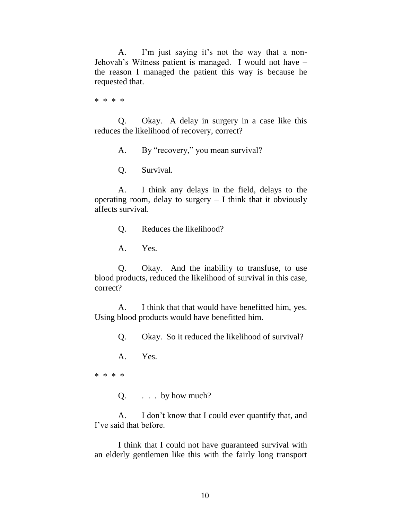A. I'm just saying it's not the way that a non-Jehovah"s Witness patient is managed. I would not have – the reason I managed the patient this way is because he requested that.

\* \* \* \*

Q. Okay. A delay in surgery in a case like this reduces the likelihood of recovery, correct?

A. By "recovery," you mean survival?

Q. Survival.

A. I think any delays in the field, delays to the operating room, delay to surgery  $-$  I think that it obviously affects survival.

Q. Reduces the likelihood?

A. Yes.

Q. Okay. And the inability to transfuse, to use blood products, reduced the likelihood of survival in this case, correct?

A. I think that that would have benefitted him, yes. Using blood products would have benefitted him.

Q. Okay. So it reduced the likelihood of survival?

A. Yes.

\* \* \* \*

Q.  $\ldots$  by how much?

A. I don"t know that I could ever quantify that, and I"ve said that before.

I think that I could not have guaranteed survival with an elderly gentlemen like this with the fairly long transport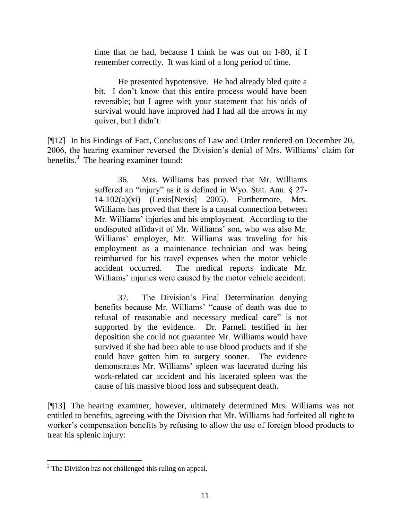time that he had, because I think he was out on I-80, if I remember correctly. It was kind of a long period of time.

He presented hypotensive. He had already bled quite a bit. I don"t know that this entire process would have been reversible; but I agree with your statement that his odds of survival would have improved had I had all the arrows in my quiver, but I didn"t.

[¶12] In his Findings of Fact, Conclusions of Law and Order rendered on December 20, 2006, the hearing examiner reversed the Division"s denial of Mrs. Williams" claim for benefits.<sup>3</sup> The hearing examiner found:

> 36. Mrs. Williams has proved that Mr. Williams suffered an "injury" as it is defined in Wyo. Stat. Ann. § 27-  $14-102(a)(xi)$  (Lexis[Nexis] 2005). Furthermore, Mrs. Williams has proved that there is a causal connection between Mr. Williams' injuries and his employment. According to the undisputed affidavit of Mr. Williams' son, who was also Mr. Williams" employer, Mr. Williams was traveling for his employment as a maintenance technician and was being reimbursed for his travel expenses when the motor vehicle accident occurred. The medical reports indicate Mr. Williams' injuries were caused by the motor vehicle accident.

> 37. The Division"s Final Determination denying benefits because Mr. Williams' "cause of death was due to refusal of reasonable and necessary medical care" is not supported by the evidence. Dr. Parnell testified in her deposition she could not guarantee Mr. Williams would have survived if she had been able to use blood products and if she could have gotten him to surgery sooner. The evidence demonstrates Mr. Williams" spleen was lacerated during his work-related car accident and his lacerated spleen was the cause of his massive blood loss and subsequent death.

[¶13] The hearing examiner, however, ultimately determined Mrs. Williams was not entitled to benefits, agreeing with the Division that Mr. Williams had forfeited all right to worker's compensation benefits by refusing to allow the use of foreign blood products to treat his splenic injury:

<sup>&</sup>lt;sup>3</sup> The Division has not challenged this ruling on appeal.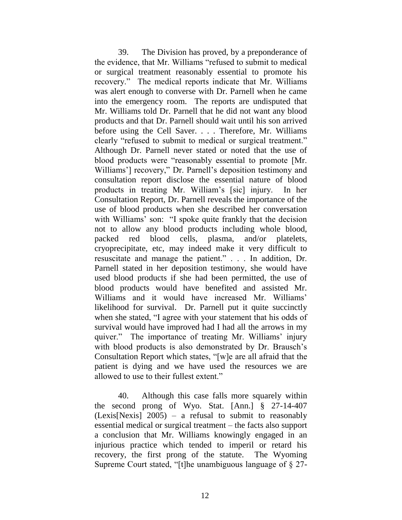39. The Division has proved, by a preponderance of the evidence, that Mr. Williams "refused to submit to medical or surgical treatment reasonably essential to promote his recovery." The medical reports indicate that Mr. Williams was alert enough to converse with Dr. Parnell when he came into the emergency room. The reports are undisputed that Mr. Williams told Dr. Parnell that he did not want any blood products and that Dr. Parnell should wait until his son arrived before using the Cell Saver. . . . Therefore, Mr. Williams clearly "refused to submit to medical or surgical treatment." Although Dr. Parnell never stated or noted that the use of blood products were "reasonably essential to promote [Mr. Williams'] recovery," Dr. Parnell's deposition testimony and consultation report disclose the essential nature of blood products in treating Mr. William"s [sic] injury. In her Consultation Report, Dr. Parnell reveals the importance of the use of blood products when she described her conversation with Williams' son: "I spoke quite frankly that the decision not to allow any blood products including whole blood, packed red blood cells, plasma, and/or platelets, cryoprecipitate, etc, may indeed make it very difficult to resuscitate and manage the patient." . . . In addition, Dr. Parnell stated in her deposition testimony, she would have used blood products if she had been permitted, the use of blood products would have benefited and assisted Mr. Williams and it would have increased Mr. Williams' likelihood for survival. Dr. Parnell put it quite succinctly when she stated, "I agree with your statement that his odds of survival would have improved had I had all the arrows in my quiver." The importance of treating Mr. Williams' injury with blood products is also demonstrated by Dr. Brausch's Consultation Report which states, "[w]e are all afraid that the patient is dying and we have used the resources we are allowed to use to their fullest extent."

40. Although this case falls more squarely within the second prong of Wyo. Stat. [Ann.] § 27-14-407  $(Lexis[Nexis] 2005) - a$  refusal to submit to reasonably essential medical or surgical treatment – the facts also support a conclusion that Mr. Williams knowingly engaged in an injurious practice which tended to imperil or retard his recovery, the first prong of the statute. The Wyoming Supreme Court stated, "[t]he unambiguous language of § 27-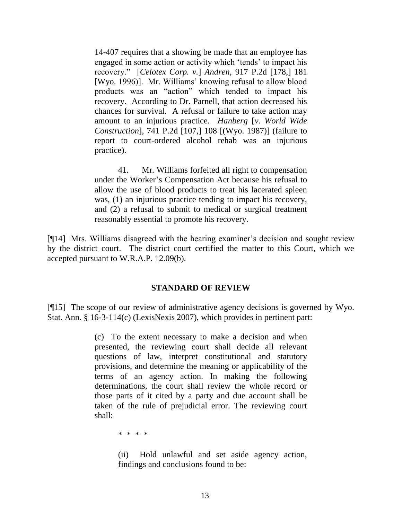14-407 requires that a showing be made that an employee has engaged in some action or activity which "tends" to impact his recovery." [*Celotex Corp. v.*] *Andren*, 917 P.2d [178,] 181 [Wyo. 1996)]. Mr. Williams" knowing refusal to allow blood products was an "action" which tended to impact his recovery. According to Dr. Parnell, that action decreased his chances for survival. A refusal or failure to take action may amount to an injurious practice. *Hanberg* [*v. World Wide Construction*], 741 P.2d [107,] 108 [(Wyo. 1987)] (failure to report to court-ordered alcohol rehab was an injurious practice).

41. Mr. Williams forfeited all right to compensation under the Worker"s Compensation Act because his refusal to allow the use of blood products to treat his lacerated spleen was, (1) an injurious practice tending to impact his recovery, and (2) a refusal to submit to medical or surgical treatment reasonably essential to promote his recovery.

[¶14] Mrs. Williams disagreed with the hearing examiner"s decision and sought review by the district court. The district court certified the matter to this Court, which we accepted pursuant to W.R.A.P. 12.09(b).

### **STANDARD OF REVIEW**

[¶15] The scope of our review of administrative agency decisions is governed by Wyo. Stat. Ann. § 16-3-114(c) (LexisNexis 2007), which provides in pertinent part:

> (c) To the extent necessary to make a decision and when presented, the reviewing court shall decide all relevant questions of law, interpret constitutional and statutory provisions, and determine the meaning or applicability of the terms of an agency action. In making the following determinations, the court shall review the whole record or those parts of it cited by a party and due account shall be taken of the rule of prejudicial error. The reviewing court shall:

> > \* \* \* \*

(ii) Hold unlawful and set aside agency action, findings and conclusions found to be: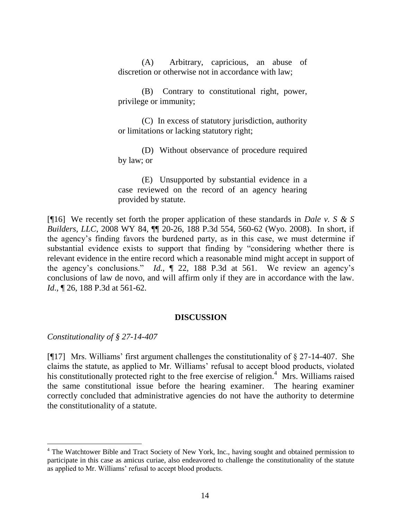(A) Arbitrary, capricious, an abuse of discretion or otherwise not in accordance with law;

(B) Contrary to constitutional right, power, privilege or immunity;

(C) In excess of statutory jurisdiction, authority or limitations or lacking statutory right;

(D) Without observance of procedure required by law; or

(E) Unsupported by substantial evidence in a case reviewed on the record of an agency hearing provided by statute.

[¶16] We recently set forth the proper application of these standards in *Dale v. S & S Builders, LLC*, 2008 WY 84, ¶¶ 20-26, 188 P.3d 554, 560-62 (Wyo. 2008). In short, if the agency"s finding favors the burdened party, as in this case, we must determine if substantial evidence exists to support that finding by "considering whether there is relevant evidence in the entire record which a reasonable mind might accept in support of the agency"s conclusions." *Id.*, ¶ 22, 188 P.3d at 561. We review an agency"s conclusions of law de novo, and will affirm only if they are in accordance with the law. *Id.*, 126, 188 P.3d at 561-62.

### **DISCUSSION**

*Constitutionality of § 27-14-407*

[ $[17]$  Mrs. Williams' first argument challenges the constitutionality of  $\S 27$ -14-407. She claims the statute, as applied to Mr. Williams" refusal to accept blood products, violated his constitutionally protected right to the free exercise of religion.<sup>4</sup> Mrs. Williams raised the same constitutional issue before the hearing examiner. The hearing examiner correctly concluded that administrative agencies do not have the authority to determine the constitutionality of a statute.

<sup>&</sup>lt;sup>4</sup> The Watchtower Bible and Tract Society of New York, Inc., having sought and obtained permission to participate in this case as amicus curiae, also endeavored to challenge the constitutionality of the statute as applied to Mr. Williams' refusal to accept blood products.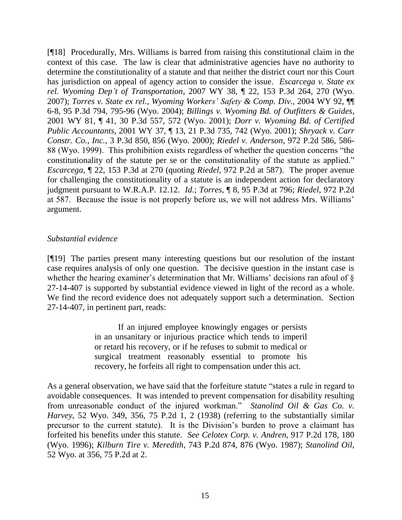[¶18] Procedurally, Mrs. Williams is barred from raising this constitutional claim in the context of this case. The law is clear that administrative agencies have no authority to determine the constitutionality of a statute and that neither the district court nor this Court has jurisdiction on appeal of agency action to consider the issue. *Escarcega v. State ex rel. Wyoming Dep't of Transportation*, 2007 WY 38, ¶ 22, 153 P.3d 264, 270 (Wyo. 2007); *Torres v. State ex rel., Wyoming Workers' Safety & Comp. Div.*, 2004 WY 92, ¶¶ 6-8, 95 P.3d 794, 795-96 (Wyo. 2004); *Billings v. Wyoming Bd. of Outfitters & Guides*, 2001 WY 81, ¶ 41, 30 P.3d 557, 572 (Wyo. 2001); *Dorr v. Wyoming Bd. of Certified Public Accountants*, 2001 WY 37, ¶ 13, 21 P.3d 735, 742 (Wyo. 2001); *Shryack v. Carr Constr. Co., Inc.*, 3 P.3d 850, 856 (Wyo. 2000); *Riedel v. Anderson*, 972 P.2d 586, 586- 88 (Wyo. 1999). This prohibition exists regardless of whether the question concerns "the constitutionality of the statute per se or the constitutionality of the statute as applied." *Escarcega*, ¶ 22, 153 P.3d at 270 (quoting *Riedel*, 972 P.2d at 587). The proper avenue for challenging the constitutionality of a statute is an independent action for declaratory judgment pursuant to W.R.A.P. 12.12. *Id*.; *Torres*, ¶ 8, 95 P.3d at 796; *Riedel*, 972 P.2d at 587. Because the issue is not properly before us, we will not address Mrs. Williams" argument.

### *Substantial evidence*

[¶19] The parties present many interesting questions but our resolution of the instant case requires analysis of only one question. The decisive question in the instant case is whether the hearing examiner's determination that Mr. Williams' decisions ran afoul of  $\S$ 27-14-407 is supported by substantial evidence viewed in light of the record as a whole. We find the record evidence does not adequately support such a determination. Section 27-14-407, in pertinent part, reads:

> If an injured employee knowingly engages or persists in an unsanitary or injurious practice which tends to imperil or retard his recovery, or if he refuses to submit to medical or surgical treatment reasonably essential to promote his recovery, he forfeits all right to compensation under this act.

As a general observation, we have said that the forfeiture statute "states a rule in regard to avoidable consequences. It was intended to prevent compensation for disability resulting from unreasonable conduct of the injured workman." *Stanolind Oil & Gas Co. v. Harvey*, 52 Wyo. 349, 356, 75 P.2d 1, 2 (1938) (referring to the substantially similar precursor to the current statute). It is the Division"s burden to prove a claimant has forfeited his benefits under this statute. *See Celotex Corp. v. Andren*, 917 P.2d 178, 180 (Wyo. 1996); *Kilburn Tire v. Meredith*, 743 P.2d 874, 876 (Wyo. 1987); *Stanolind Oil*, 52 Wyo. at 356, 75 P.2d at 2.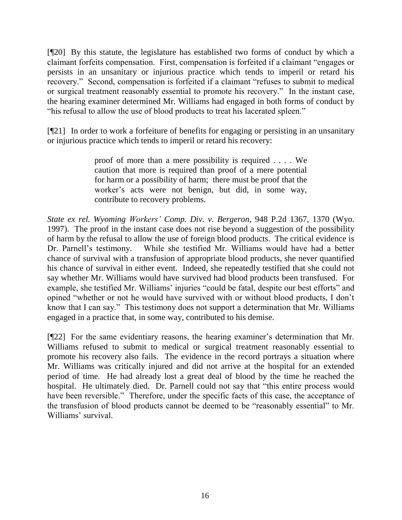[¶20] By this statute, the legislature has established two forms of conduct by which a claimant forfeits compensation. First, compensation is forfeited if a claimant "engages or persists in an unsanitary or injurious practice which tends to imperil or retard his recovery." Second, compensation is forfeited if a claimant "refuses to submit to medical or surgical treatment reasonably essential to promote his recovery." In the instant case, the hearing examiner determined Mr. Williams had engaged in both forms of conduct by "his refusal to allow the use of blood products to treat his lacerated spleen."

[¶21] In order to work a forfeiture of benefits for engaging or persisting in an unsanitary or injurious practice which tends to imperil or retard his recovery:

> proof of more than a mere possibility is required . . . . We caution that more is required than proof of a mere potential for harm or a possibility of harm; there must be proof that the worker"s acts were not benign, but did, in some way, contribute to recovery problems.

*State ex rel. Wyoming Workers' Comp. Div. v. Bergeron*, 948 P.2d 1367, 1370 (Wyo. 1997). The proof in the instant case does not rise beyond a suggestion of the possibility of harm by the refusal to allow the use of foreign blood products. The critical evidence is Dr. Parnell"s testimony. While she testified Mr. Williams would have had a better chance of survival with a transfusion of appropriate blood products, she never quantified his chance of survival in either event. Indeed, she repeatedly testified that she could not say whether Mr. Williams would have survived had blood products been transfused. For example, she testified Mr. Williams' injuries "could be fatal, despite our best efforts" and opined "whether or not he would have survived with or without blood products, I don"t know that I can say." This testimony does not support a determination that Mr. Williams engaged in a practice that, in some way, contributed to his demise.

[¶22] For the same evidentiary reasons, the hearing examiner"s determination that Mr. Williams refused to submit to medical or surgical treatment reasonably essential to promote his recovery also fails. The evidence in the record portrays a situation where Mr. Williams was critically injured and did not arrive at the hospital for an extended period of time. He had already lost a great deal of blood by the time he reached the hospital. He ultimately died. Dr. Parnell could not say that "this entire process would have been reversible." Therefore, under the specific facts of this case, the acceptance of the transfusion of blood products cannot be deemed to be "reasonably essential" to Mr. Williams' survival.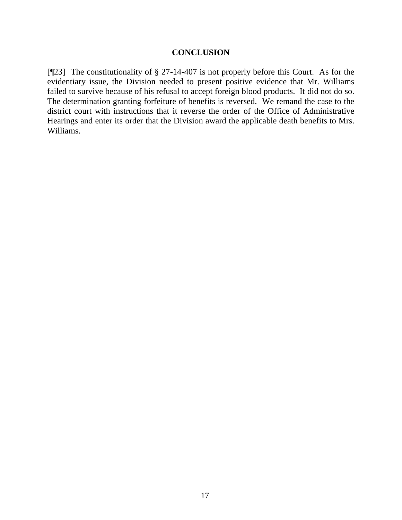#### **CONCLUSION**

[¶23] The constitutionality of § 27-14-407 is not properly before this Court. As for the evidentiary issue, the Division needed to present positive evidence that Mr. Williams failed to survive because of his refusal to accept foreign blood products. It did not do so. The determination granting forfeiture of benefits is reversed. We remand the case to the district court with instructions that it reverse the order of the Office of Administrative Hearings and enter its order that the Division award the applicable death benefits to Mrs. Williams.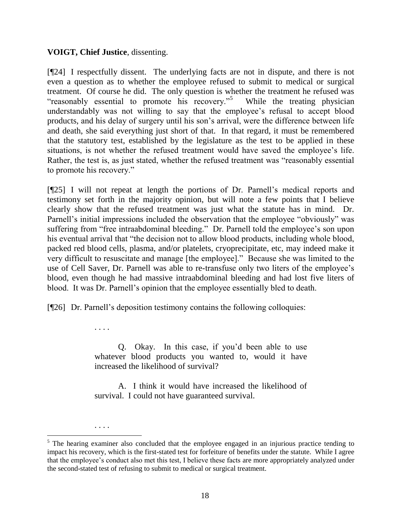## **VOIGT, Chief Justice**, dissenting.

. . . .

. . . .

[¶24] I respectfully dissent. The underlying facts are not in dispute, and there is not even a question as to whether the employee refused to submit to medical or surgical treatment. Of course he did. The only question is whether the treatment he refused was "reasonably essential to promote his recovery."<sup>5</sup> While the treating physician understandably was not willing to say that the employee"s refusal to accept blood products, and his delay of surgery until his son"s arrival, were the difference between life and death, she said everything just short of that. In that regard, it must be remembered that the statutory test, established by the legislature as the test to be applied in these situations, is not whether the refused treatment would have saved the employee's life. Rather, the test is, as just stated, whether the refused treatment was "reasonably essential to promote his recovery."

[¶25] I will not repeat at length the portions of Dr. Parnell"s medical reports and testimony set forth in the majority opinion, but will note a few points that I believe clearly show that the refused treatment was just what the statute has in mind. Dr. Parnell's initial impressions included the observation that the employee "obviously" was suffering from "free intraabdominal bleeding." Dr. Parnell told the employee's son upon his eventual arrival that "the decision not to allow blood products, including whole blood, packed red blood cells, plasma, and/or platelets, cryoprecipitate, etc, may indeed make it very difficult to resuscitate and manage [the employee]." Because she was limited to the use of Cell Saver, Dr. Parnell was able to re-transfuse only two liters of the employee"s blood, even though he had massive intraabdominal bleeding and had lost five liters of blood. It was Dr. Parnell"s opinion that the employee essentially bled to death.

[¶26] Dr. Parnell"s deposition testimony contains the following colloquies:

Q. Okay. In this case, if you"d been able to use whatever blood products you wanted to, would it have increased the likelihood of survival?

A. I think it would have increased the likelihood of survival. I could not have guaranteed survival.

 $<sup>5</sup>$  The hearing examiner also concluded that the employee engaged in an injurious practice tending to</sup> impact his recovery, which is the first-stated test for forfeiture of benefits under the statute. While I agree that the employee"s conduct also met this test, I believe these facts are more appropriately analyzed under the second-stated test of refusing to submit to medical or surgical treatment.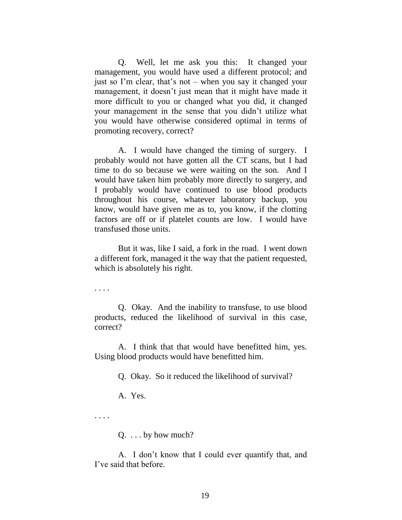Q. Well, let me ask you this: It changed your management, you would have used a different protocol; and just so I"m clear, that"s not – when you say it changed your management, it doesn"t just mean that it might have made it more difficult to you or changed what you did, it changed your management in the sense that you didn"t utilize what you would have otherwise considered optimal in terms of promoting recovery, correct?

A. I would have changed the timing of surgery. I probably would not have gotten all the CT scans, but I had time to do so because we were waiting on the son. And I would have taken him probably more directly to surgery, and I probably would have continued to use blood products throughout his course, whatever laboratory backup, you know, would have given me as to, you know, if the clotting factors are off or if platelet counts are low. I would have transfused those units.

But it was, like I said, a fork in the road. I went down a different fork, managed it the way that the patient requested, which is absolutely his right.

. . . .

Q. Okay. And the inability to transfuse, to use blood products, reduced the likelihood of survival in this case, correct?

A. I think that that would have benefitted him, yes. Using blood products would have benefitted him.

Q. Okay. So it reduced the likelihood of survival?

A. Yes.

. . . .

 $Q. \ldots$  by how much?

A. I don"t know that I could ever quantify that, and I"ve said that before.